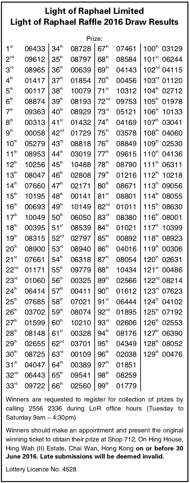## Light of Raphael Limited Light of Raphael Raffle 2016 Draw Results

| Prize:                 |       |                  |       |                  |       |                              |  |  |  |  |  |
|------------------------|-------|------------------|-------|------------------|-------|------------------------------|--|--|--|--|--|
| 1 <sup>st</sup>        | 06433 | 34 <sup>th</sup> | 08728 | 67 <sup>th</sup> | 07461 | 100 <sup>th</sup><br>03129   |  |  |  |  |  |
| $2^{nd}$               | 09612 | $35^{\text{th}}$ | 08797 | $68^{\text{th}}$ | 08584 | 101 <sup>st</sup><br>06244   |  |  |  |  |  |
| $3^{\text{rd}}$        | 08965 | 36 <sup>th</sup> | 00639 | $69^{\text{th}}$ | 04143 | 102 <sup>nd</sup><br>04115   |  |  |  |  |  |
| 4 <sup>th</sup>        | 01417 | 37 <sup>th</sup> | 01854 | 70 <sup>th</sup> | 00456 | 103 <sup>rd</sup><br>01120   |  |  |  |  |  |
| 5 <sup>th</sup>        | 00117 | 38 <sup>th</sup> | 10079 | $71^{st}$        | 10312 | $104^{\text{th}}$<br>02712   |  |  |  |  |  |
| 6 <sup>th</sup>        | 08874 | 39 <sup>th</sup> | 08193 | 72 <sup>nd</sup> | 09753 | 105 <sup>th</sup><br>01978   |  |  |  |  |  |
| 7 <sup>th</sup>        | 09363 | $40^{\text{th}}$ | 08929 | 73 <sup>rd</sup> | 05121 | 106 <sup>th</sup><br>10133   |  |  |  |  |  |
| 8 <sup>th</sup>        | 00313 | $41^{st}$        | 01432 | 74 <sup>th</sup> | 04169 | $107^{\text{th}}$<br>03041   |  |  |  |  |  |
| 9 <sup>th</sup>        | 00058 | $42^{nd}$        | 01729 | $75^{\text{th}}$ | 03578 | 108 <sup>th</sup><br>04060   |  |  |  |  |  |
| $10^{\text{th}}$       | 05279 | 43 <sup>rd</sup> | 08818 | $76^{\text{th}}$ | 08849 | 109 <sup>th</sup><br>02530   |  |  |  |  |  |
| 11 <sup>th</sup>       | 08953 | $44^{\text{th}}$ | 03019 | 77 <sup>th</sup> | 09615 | 110 <sup>th</sup><br>04136   |  |  |  |  |  |
| $12^{\text{th}}$       | 10256 | $45^{\text{th}}$ | 10488 | $78^{\text{th}}$ | 08790 | 111 <sup>th</sup><br>06311   |  |  |  |  |  |
| 13 <sup>th</sup>       | 08047 | $46^{\text{th}}$ | 02808 | 79 <sup>th</sup> | 01216 | $112^{th}$<br>10218          |  |  |  |  |  |
| $14^{th}$              | 07660 | 47 <sup>th</sup> | 02171 | 80 <sup>th</sup> | 08671 | $113^{th}$<br>09056          |  |  |  |  |  |
| 15 <sup>th</sup>       | 10195 | $48^{\text{th}}$ | 00141 | 81 <sup>st</sup> | 08801 | 114 <sup>th</sup><br>08055   |  |  |  |  |  |
| 16 <sup>th</sup>       | 00693 | $49^{\text{th}}$ | 10149 | 82 <sup>nd</sup> | 01011 | 115 <sup>th</sup><br>08630   |  |  |  |  |  |
| 17 <sup>th</sup>       | 10049 | 50 <sup>th</sup> | 06050 | 83 <sup>rd</sup> | 08380 | 116 <sup>th</sup><br>08001   |  |  |  |  |  |
| $18^{\text{th}}$       | 00395 | $51^{st}$        | 08539 | $84^{\text{th}}$ | 01021 | $117^{th}$<br>10399          |  |  |  |  |  |
| 19 <sup>th</sup>       | 08315 | $52^{nd}$        | 02797 | $85^{\text{th}}$ | 00892 | 118 <sup>th</sup><br>08923   |  |  |  |  |  |
| 20 <sup>th</sup>       | 08900 | 53 <sup>rd</sup> | 08940 | 86 <sup>th</sup> | 04016 | $119^{th}$<br>00306          |  |  |  |  |  |
| $21^{st}$              | 07661 | 54 <sup>th</sup> | 06318 | 87 <sup>th</sup> | 08054 | 120 <sup>th</sup><br>02631   |  |  |  |  |  |
| $22^{nd}$              | 01171 | $55^{\text{th}}$ | 09779 | $88^{\text{th}}$ | 10434 | $121$ <sup>st</sup><br>00486 |  |  |  |  |  |
| 23 <sup>rd</sup>       | 01060 | 56 <sup>th</sup> | 00325 | 89 <sup>th</sup> | 02566 | 122 <sup>nd</sup><br>08214   |  |  |  |  |  |
| $24^{\text{\tiny th}}$ | 06414 | 57 <sup>th</sup> | 00411 | 90 <sup>th</sup> | 01612 | 123 <sup>rd</sup><br>07623   |  |  |  |  |  |
| $25^{\text{th}}$       | 07685 | $58^{\text{th}}$ | 07021 | 91 <sup>st</sup> | 06444 | $124^{th}$<br>04102          |  |  |  |  |  |
| 26 <sup>th</sup>       | 03702 | $59^{\text{th}}$ | 08074 | 92 <sup>nd</sup> | 01895 | $125^{\text{th}}$<br>07192   |  |  |  |  |  |
| 27 <sup>th</sup>       | 01599 | 60 <sup>th</sup> | 10210 | 93 <sup>rd</sup> | 02606 | 126 <sup>th</sup><br>02553   |  |  |  |  |  |
| 28 <sup>th</sup>       | 08148 | 61 <sup>st</sup> | 00328 | $94^{\text{th}}$ | 08176 | 127 <sup>th</sup><br>06390   |  |  |  |  |  |
| 29 <sup>th</sup>       | 02655 | 62 <sup>nd</sup> | 03701 | $95^{\text{th}}$ | 04349 | $128^{th}$<br>08052          |  |  |  |  |  |
| 30 <sup>th</sup>       | 08725 | 63 <sup>rd</sup> | 00109 | $96^{\text{th}}$ | 02038 | $129^{th}$<br>00476          |  |  |  |  |  |
| $31^{st}$              | 04047 | $64^{\text{th}}$ | 00389 | 97 <sup>th</sup> | 01851 |                              |  |  |  |  |  |
| $32^{nd}$              | 06443 | $65^{\text{th}}$ | 09541 | $98^{\rm th}$    | 08259 |                              |  |  |  |  |  |
| 33 <sup>rd</sup>       | 09722 | 66 <sup>th</sup> | 02560 | $99^{\text{th}}$ | 01779 |                              |  |  |  |  |  |
|                        |       |                  |       |                  |       |                              |  |  |  |  |  |

Winners are requested to register for collection of prizes by calling 2556 2336 during LoR office hours (Tuesday to Saturday 9am - 4:30pm)

Winners should make an appointment and present the original winning ticket to obtain their prize at Shop 712, On Hing House, Hing Wah (II) Estate, Chai Wan, Hong Kong on or before 30 June 2016. Late submissions will be deemed invalid.

Lottery Licence No. 4528